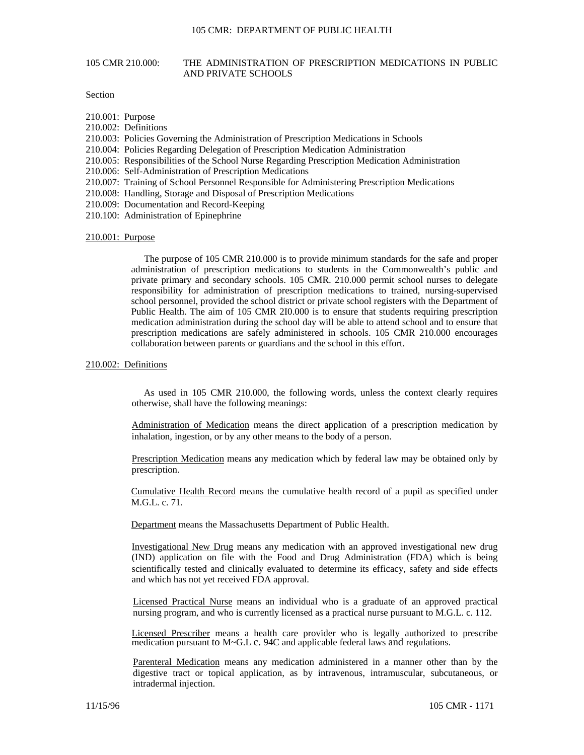# 105 CMR 210.000: THE ADMINISTRATION OF PRESCRIPTION MEDICATIONS IN PUBLIC AND PRIVATE SCHOOLS

# Section

- 210.001: Purpose
- 210.002: Definitions
- 210.003: Policies Governing the Administration of Prescription Medications in Schools
- 210.004: Policies Regarding Delegation of Prescription Medication Administration
- 210.005: Responsibilities of the School Nurse Regarding Prescription Medication Administration
- 210.006: Self-Administration of Prescription Medications
- 210.007: Training of School Personnel Responsible for Administering Prescription Medications
- 210.008: Handling, Storage and Disposal of Prescription Medications
- 210.009: Documentation and Record-Keeping
- 210.100: Administration of Epinephrine

### 210.001: Purpose

The purpose of 105 CMR 210.000 is to provide minimum standards for the safe and proper administration of prescription medications to students in the Commonwealth's public and private primary and secondary schools. 105 CMR. 210.000 permit school nurses to delegate responsibility for administration of prescription medications to trained, nursing-supervised school personnel, provided the school district or private school registers with the Department of Public Health. The aim of 105 CMR 2I0.000 is to ensure that students requiring prescription medication administration during the school day will be able to attend school and to ensure that prescription medications are safely administered in schools. 105 CMR 210.000 encourages collaboration between parents or guardians and the school in this effort.

## 210.002: Definitions

As used in 105 CMR 210.000, the following words, unless the context clearly requires otherwise, shall have the following meanings:

Administration of Medication means the direct application of a prescription medication by inhalation, ingestion, or by any other means to the body of a person.

Prescription Medication means any medication which by federal law may be obtained only by prescription.

Cumulative Health Record means the cumulative health record of a pupil as specified under M.G.L. c. 71.

Department means the Massachusetts Department of Public Health.

Investigational New Drug means any medication with an approved investigational new drug (IND) application on file with the Food and Drug Administration (FDA) which is being scientifically tested and clinically evaluated to determine its efficacy, safety and side effects and which has not yet received FDA approval.

Licensed Practical Nurse means an individual who is a graduate of an approved practical nursing program, and who is currently licensed as a practical nurse pursuant to M.G.L. c. 112.

Licensed Prescriber means a health care provider who is legally authorized to prescribe medication pursuant to M~G.L c. 94C and applicable federal laws and regulations.

Parenteral Medication means any medication administered in a manner other than by the digestive tract or topical application, as by intravenous, intramuscular, subcutaneous, or intradermal injection.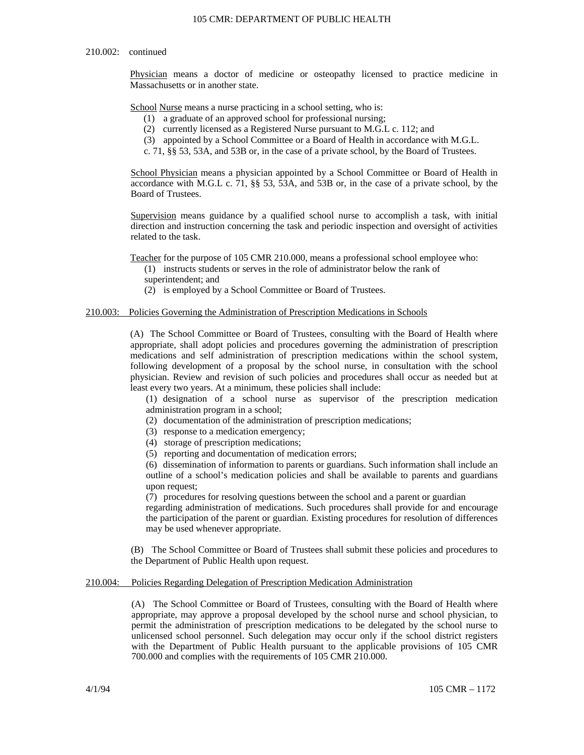## 210.002: continued

Physician means a doctor of medicine or osteopathy licensed to practice medicine in Massachusetts or in another state.

School Nurse means a nurse practicing in a school setting, who is:

- (1) a graduate of an approved school for professional nursing;
- (2) currently licensed as a Registered Nurse pursuant to M.G.L c. 112; and
- (3) appointed by a School Committee or a Board of Health in accordance with M.G.L.
- c. 71, §§ 53, 53A, and 53B or, in the case of a private school, by the Board of Trustees.

School Physician means a physician appointed by a School Committee or Board of Health in accordance with M.G.L c. 71, §§ 53, 53A, and 53B or, in the case of a private school, by the Board of Trustees.

Supervision means guidance by a qualified school nurse to accomplish a task, with initial direction and instruction concerning the task and periodic inspection and oversight of activities related to the task.

Teacher for the purpose of 105 CMR 210.000, means a professional school employee who:

- (1) instructs students or serves in the role of administrator below the rank of
- superintendent; and
- (2) is employed by a School Committee or Board of Trustees.

# 210.003: Policies Governing the Administration of Prescription Medications in Schools

(A) The School Committee or Board of Trustees, consulting with the Board of Health where appropriate, shall adopt policies and procedures governing the administration of prescription medications and self administration of prescription medications within the school system, following development of a proposal by the school nurse, in consultation with the school physician. Review and revision of such policies and procedures shall occur as needed but at least every two years. At a minimum, these policies shall include:

(1) designation of a school nurse as supervisor of the prescription medication administration program in a school;

- (2) documentation of the administration of prescription medications;
- (3) response to a medication emergency;
- (4) storage of prescription medications;
- (5) reporting and documentation of medication errors;

(6) dissemination of information to parents or guardians. Such information shall include an outline of a school's medication policies and shall be available to parents and guardians upon request;

(7) procedures for resolving questions between the school and a parent or guardian

regarding administration of medications. Such procedures shall provide for and encourage the participation of the parent or guardian. Existing procedures for resolution of differences may be used whenever appropriate.

(B) The School Committee or Board of Trustees shall submit these policies and procedures to the Department of Public Health upon request.

# 210.004: Policies Regarding Delegation of Prescription Medication Administration

(A) The School Committee or Board of Trustees, consulting with the Board of Health where appropriate, may approve a proposal developed by the school nurse and school physician, to permit the administration of prescription medications to be delegated by the school nurse to unlicensed school personnel. Such delegation may occur only if the school district registers with the Department of Public Health pursuant to the applicable provisions of 105 CMR 700.000 and complies with the requirements of 105 CMR 210.000.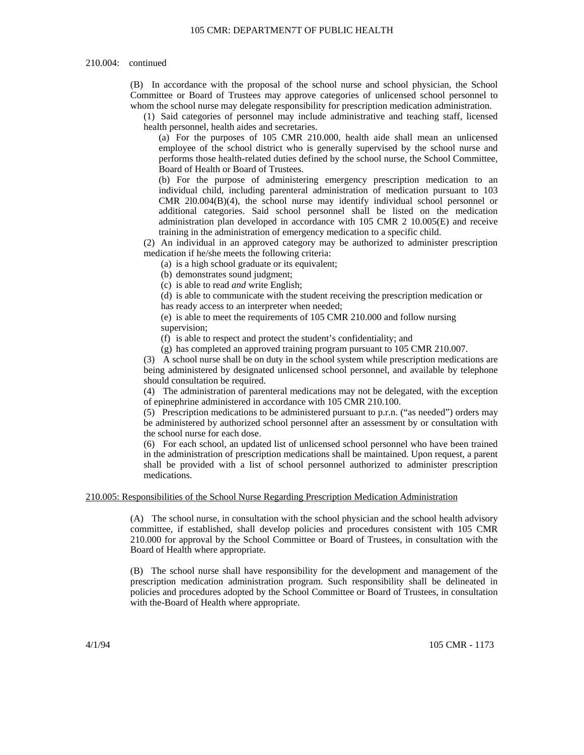### 105 CMR: DEPARTMEN7T OF PUBLIC HEALTH

### 210.004: continued

(B) In accordance with the proposal of the school nurse and school physician, the School Committee or Board of Trustees may approve categories of unlicensed school personnel to whom the school nurse may delegate responsibility for prescription medication administration.

(1) Said categories of personnel may include administrative and teaching staff, licensed health personnel, health aides and secretaries.

(a) For the purposes of 105 CMR 210.000, health aide shall mean an unlicensed employee of the school district who is generally supervised by the school nurse and performs those health-related duties defined by the school nurse, the School Committee, Board of Health or Board of Trustees.

(b) For the purpose of administering emergency prescription medication to an individual child, including parenteral administration of medication pursuant to 103 CMR 2l0.004(B)(4), the school nurse may identify individual school personnel or additional categories. Said school personnel shall be listed on the medication administration plan developed in accordance with 105 CMR 2 10.005(E) and receive training in the administration of emergency medication to a specific child.

(2) An individual in an approved category may be authorized to administer prescription medication if he/she meets the following criteria:

(a) is a high school graduate or its equivalent;

(b) demonstrates sound judgment;

(c) is able to read *and* write English;

(d) is able to communicate with the student receiving the prescription medication or has ready access to an interpreter when needed;

(e) is able to meet the requirements of 105 CMR 210.000 and follow nursing supervision;

(f) is able to respect and protect the student's confidentiality; and

(g) has completed an approved training program pursuant to 105 CMR 210.007.

(3) A school nurse shall be on duty in the school system while prescription medications are being administered by designated unlicensed school personnel, and available by telephone should consultation be required.

(4) The administration of parenteral medications may not be delegated, with the exception of epinephrine administered in accordance with 105 CMR 210.100.

(5) Prescription medications to be administered pursuant to p.r.n. ("as needed") orders may be administered by authorized school personnel after an assessment by or consultation with the school nurse for each dose.

(6) For each school, an updated list of unlicensed school personnel who have been trained in the administration of prescription medications shall be maintained. Upon request, a parent shall be provided with a list of school personnel authorized to administer prescription medications.

### 210.005: Responsibilities of the School Nurse Regarding Prescription Medication Administration

(A) The school nurse, in consultation with the school physician and the school health advisory committee, if established, shall develop policies and procedures consistent with 105 CMR 210.000 for approval by the School Committee or Board of Trustees, in consultation with the Board of Health where appropriate.

(B) The school nurse shall have responsibility for the development and management of the prescription medication administration program. Such responsibility shall be delineated in policies and procedures adopted by the School Committee or Board of Trustees, in consultation with the-Board of Health where appropriate.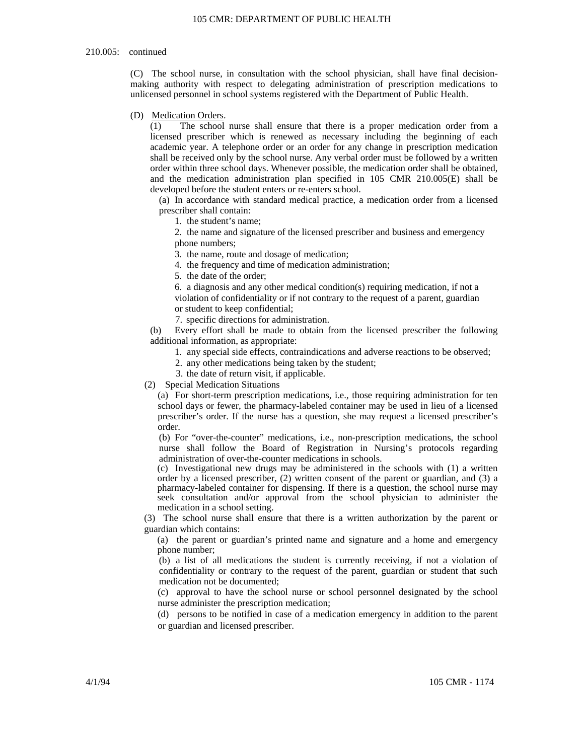#### 210.005: continued

(C) The school nurse, in consultation with the school physician, shall have final decisionmaking authority with respect to delegating administration of prescription medications to unlicensed personnel in school systems registered with the Department of Public Health.

### (D) Medication Orders.

(1) The school nurse shall ensure that there is a proper medication order from a licensed prescriber which is renewed as necessary including the beginning of each academic year. A telephone order or an order for any change in prescription medication shall be received only by the school nurse. Any verbal order must be followed by a written order within three school days. Whenever possible, the medication order shall be obtained, and the medication administration plan specified in 105 CMR 210.005(E) shall be developed before the student enters or re-enters school.

(a) In accordance with standard medical practice, a medication order from a licensed prescriber shall contain:

1. the student's name;

2. the name and signature of the licensed prescriber and business and emergency phone numbers;

3. the name, route and dosage of medication;

4. the frequency and time of medication administration;

5. the date of the order;

6. a diagnosis and any other medical condition(s) requiring medication, if not a violation of confidentiality or if not contrary to the request of a parent, guardian or student to keep confidential;

7. specific directions for administration.

(b) Every effort shall be made to obtain from the licensed prescriber the following additional information, as appropriate:

- 1. any special side effects, contraindications and adverse reactions to be observed;
- 2. any other medications being taken by the student;
- 3. the date of return visit, if applicable.
- (2) Special Medication Situations

(a) For short-term prescription medications, i.e.*,* those requiring administration for ten school days or fewer, the pharmacy-labeled container may be used in lieu of a licensed prescriber's order. If the nurse has a question, she may request a licensed prescriber's order.

(b) For "over-the-counter" medications, i.e., non-prescription medications, the school nurse shall follow the Board of Registration in Nursing's protocols regarding administration of over-the-counter medications in schools.

(c) Investigational new drugs may be administered in the schools with (1) a written order by a licensed prescriber, (2) written consent of the parent or guardian, and (3) a pharmacy-labeled container for dispensing. If there is a question, the school nurse may seek consultation and/or approval from the school physician to administer the medication in a school setting.

(3) The school nurse shall ensure that there is a written authorization by the parent or guardian which contains:

(a) the parent or guardian's printed name and signature and a home and emergency phone number;

(b) a list of all medications the student is currently receiving, if not a violation of confidentiality or contrary to the request of the parent, guardian or student that such medication not be documented;

(c) approval to have the school nurse or school personnel designated by the school nurse administer the prescription medication;

(d) persons to be notified in case of a medication emergency in addition to the parent or guardian and licensed prescriber.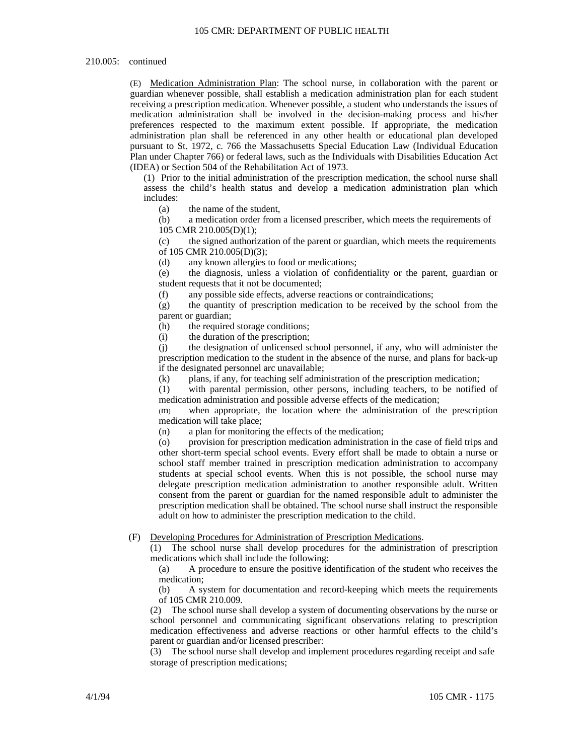### 210.005: continued

(E) Medication Administration Plan: The school nurse, in collaboration with the parent or guardian whenever possible, shall establish a medication administration plan for each student receiving a prescription medication. Whenever possible, a student who understands the issues of medication administration shall be involved in the decision-making process and his/her preferences respected to the maximum extent possible. If appropriate, the medication administration plan shall be referenced in any other health or educational plan developed pursuant to St. 1972, c. 766 the Massachusetts Special Education Law (Individual Education Plan under Chapter 766) or federal laws, such as the Individuals with Disabilities Education Act (IDEA) or Section 504 of the Rehabilitation Act of 1973.

(1) Prior to the initial administration of the prescription medication, the school nurse shall assess the child's health status and develop a medication administration plan which includes:

(a) the name of the student,

(b) a medication order from a licensed prescriber, which meets the requirements of 105 CMR 210.005(D)(1);

(c) the signed authorization of the parent or guardian, which meets the requirements of 105 CMR 210.005(D)(3);

(d) any known allergies to food or medications;

(e) the diagnosis, unless a violation of confidentiality or the parent, guardian or student requests that it not be documented;

(f) any possible side effects, adverse reactions or contraindications;

(g) the quantity of prescription medication to be received by the school from the parent or guardian;

(h) the required storage conditions;

(i) the duration of the prescription;

(j) the designation of unlicensed school personnel, if any, who will administer the prescription medication to the student in the absence of the nurse, and plans for back-up if the designated personnel arc unavailable;

(k) plans, if any, for teaching self administration of the prescription medication;

(1) with parental permission, other persons, including teachers, to be notified of medication administration and possible adverse effects of the medication;

(m) when appropriate, the location where the administration of the prescription medication will take place;

(n) a plan for monitoring the effects of the medication;

(o) provision for prescription medication administration in the case of field trips and other short-term special school events. Every effort shall be made to obtain a nurse or school staff member trained in prescription medication administration to accompany students at special school events. When this is not possible, the school nurse may delegate prescription medication administration to another responsible adult. Written consent from the parent or guardian for the named responsible adult to administer the prescription medication shall be obtained. The school nurse shall instruct the responsible adult on how to administer the prescription medication to the child.

## (F) Developing Procedures for Administration of Prescription Medications.

(1) The school nurse shall develop procedures for the administration of prescription medications which shall include the following:

(a) A procedure to ensure the positive identification of the student who receives the medication;

(b) A system for documentation and record-keeping which meets the requirements of 105 CMR 210.009.

(2) The school nurse shall develop a system of documenting observations by the nurse or school personnel and communicating significant observations relating to prescription medication effectiveness and adverse reactions or other harmful effects to the child's parent or guardian and/or licensed prescriber:

(3) The school nurse shall develop and implement procedures regarding receipt and safe storage of prescription medications;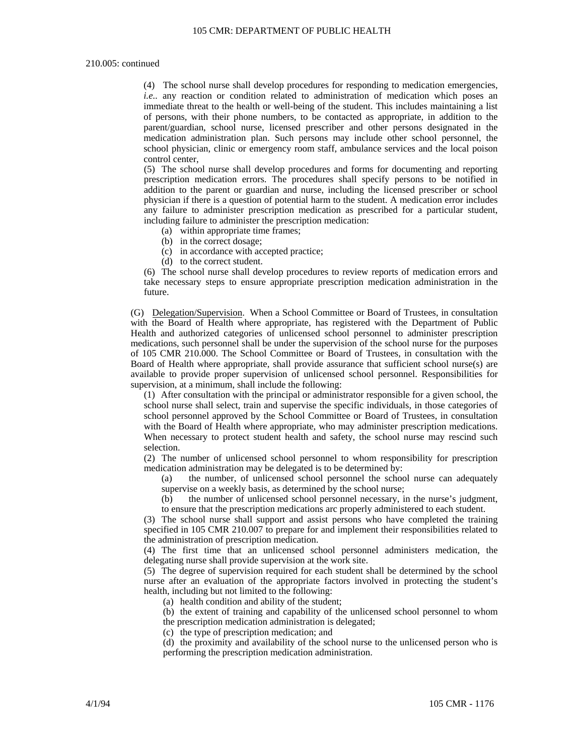# 210.005: continued

(4) The school nurse shall develop procedures for responding to medication emergencies, *i.e..* any reaction or condition related to administration of medication which poses an immediate threat to the health or well-being of the student. This includes maintaining a list of persons, with their phone numbers, to be contacted as appropriate, in addition to the parent/guardian, school nurse, licensed prescriber and other persons designated in the medication administration plan. Such persons may include other school personnel, the school physician, clinic or emergency room staff, ambulance services and the local poison control center,

(5) The school nurse shall develop procedures and forms for documenting and reporting prescription medication errors. The procedures shall specify persons to be notified in addition to the parent or guardian and nurse, including the licensed prescriber or school physician if there is a question of potential harm to the student. A medication error includes any failure to administer prescription medication as prescribed for a particular student, including failure to administer the prescription medication:

(a) within appropriate time frames;

(b) in the correct dosage;

(c) in accordance with accepted practice;

(d) to the correct student.

(6) The school nurse shall develop procedures to review reports of medication errors and take necessary steps to ensure appropriate prescription medication administration in the future.

(G) Delegation/Supervision. When a School Committee or Board of Trustees, in consultation with the Board of Health where appropriate, has registered with the Department of Public Health and authorized categories of unlicensed school personnel to administer prescription medications, such personnel shall be under the supervision of the school nurse for the purposes of 105 CMR 210.000. The School Committee or Board of Trustees, in consultation with the Board of Health where appropriate, shall provide assurance that sufficient school nurse(s) are available to provide proper supervision of unlicensed school personnel. Responsibilities for supervision, at a minimum, shall include the following:

(1) After consultation with the principal or administrator responsible for a given school, the school nurse shall select, train and supervise the specific individuals, in those categories of school personnel approved by the School Committee or Board of Trustees, in consultation with the Board of Health where appropriate, who may administer prescription medications. When necessary to protect student health and safety, the school nurse may rescind such selection.

(2) The number of unlicensed school personnel to whom responsibility for prescription medication administration may be delegated is to be determined by:

(a) the number, of unlicensed school personnel the school nurse can adequately supervise on a weekly basis, as determined by the school nurse;

(b) the number of unlicensed school personnel necessary, in the nurse's judgment, to ensure that the prescription medications arc properly administered to each student.

(3) The school nurse shall support and assist persons who have completed the training specified in 105 CMR 210.007 to prepare for and implement their responsibilities related to the administration of prescription medication.

(4) The first time that an unlicensed school personnel administers medication, the delegating nurse shall provide supervision at the work site.

(5) The degree of supervision required for each student shall be determined by the school nurse after an evaluation of the appropriate factors involved in protecting the student's health, including but not limited to the following:

(a) health condition and ability of the student;

(b) the extent of training and capability of the unlicensed school personnel to whom the prescription medication administration is delegated;

(c) the type of prescription medication; and

(d) the proximity and availability of the school nurse to the unlicensed person who is performing the prescription medication administration.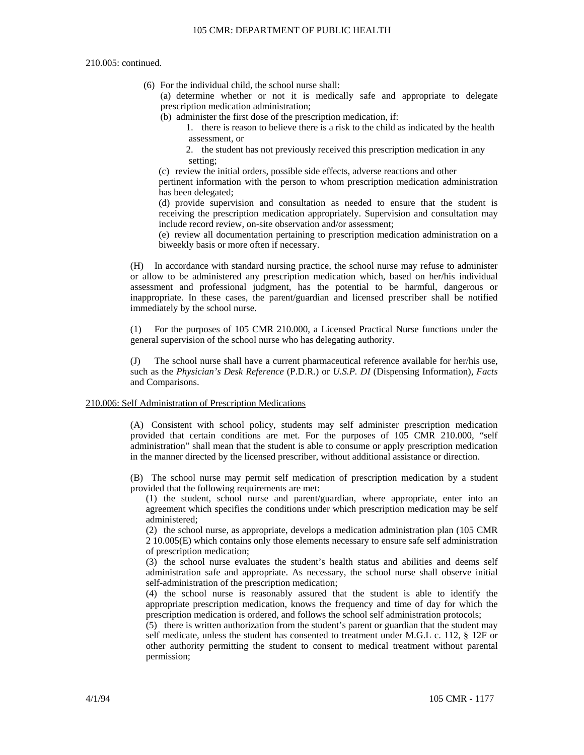210.005: continued.

- (6) For the individual child, the school nurse shall:
	- (a) determine whether or not it is medically safe and appropriate to delegate prescription medication administration;
	- (b) administer the first dose of the prescription medication, if:
		- 1. there is reason to believe there is a risk to the child as indicated by the health assessment, or
		- 2. the student has not previously received this prescription medication in any setting;
	- (c) review the initial orders, possible side effects, adverse reactions and other

pertinent information with the person to whom prescription medication administration has been delegated;

(d) provide supervision and consultation as needed to ensure that the student is receiving the prescription medication appropriately. Supervision and consultation may include record review, on-site observation and/or assessment;

(e) review all documentation pertaining to prescription medication administration on a biweekly basis or more often if necessary.

(H) In accordance with standard nursing practice, the school nurse may refuse to administer or allow to be administered any prescription medication which, based on her/his individual assessment and professional judgment, has the potential to be harmful, dangerous or inappropriate. In these cases, the parent/guardian and licensed prescriber shall be notified immediately by the school nurse.

(1) For the purposes of 105 CMR 210.000, a Licensed Practical Nurse functions under the general supervision of the school nurse who has delegating authority.

(J) The school nurse shall have a current pharmaceutical reference available for her/his use, such as the *Physician's Desk Reference* (P.D.R.) or *U.S.P. DI* (Dispensing Information), *Facts* and Comparisons.

# 210.006: Self Administration of Prescription Medications

(A) Consistent with school policy, students may self administer prescription medication provided that certain conditions are met. For the purposes of 105 CMR 210.000, "self administration" shall mean that the student is able to consume or apply prescription medication in the manner directed by the licensed prescriber, without additional assistance or direction.

(B) The school nurse may permit self medication of prescription medication by a student provided that the following requirements are met:

(1) the student, school nurse and parent/guardian, where appropriate, enter into an agreement which specifies the conditions under which prescription medication may be self administered;

(2) the school nurse, as appropriate, develops a medication administration plan (105 CMR 2 10.005(E) which contains only those elements necessary to ensure safe self administration of prescription medication;

(3) the school nurse evaluates the student's health status and abilities and deems self administration safe and appropriate. As necessary, the school nurse shall observe initial self-administration of the prescription medication;

(4) the school nurse is reasonably assured that the student is able to identify the appropriate prescription medication, knows the frequency and time of day for which the prescription medication is ordered, and follows the school self administration protocols;

(5) there is written authorization from the student's parent or guardian that the student may self medicate, unless the student has consented to treatment under M.G.L c. 112, § 12F or other authority permitting the student to consent to medical treatment without parental permission;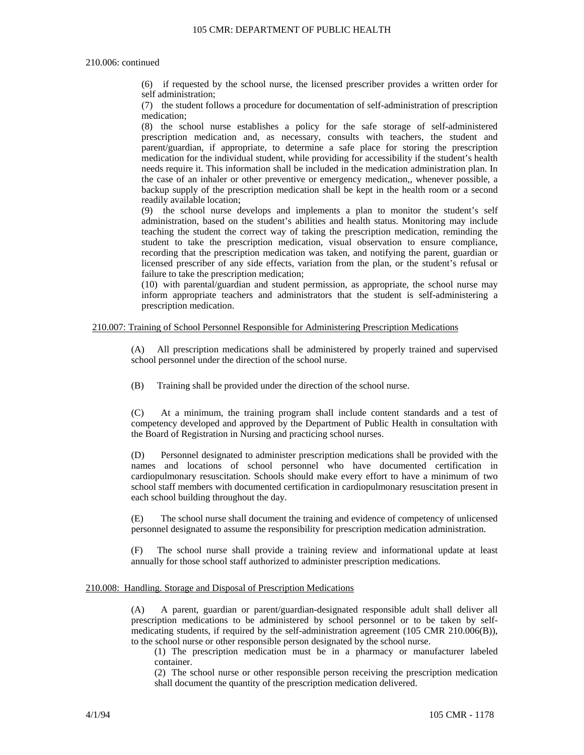### 105 CMR: DEPARTMENT OF PUBLIC HEALTH

## 210.006: continued

(6) if requested by the school nurse, the licensed prescriber provides a written order for self administration;

(7) the student follows a procedure for documentation of self-administration of prescription medication;

(8) the school nurse establishes a policy for the safe storage of self-administered prescription medication and, as necessary, consults with teachers, the student and parent/guardian, if appropriate, to determine a safe place for storing the prescription medication for the individual student, while providing for accessibility if the student's health needs require it. This information shall be included in the medication administration plan. In the case of an inhaler or other preventive or emergency medication,, whenever possible, a backup supply of the prescription medication shall be kept in the health room or a second readily available location;

(9) the school nurse develops and implements a plan to monitor the student's self administration, based on the student's abilities and health status. Monitoring may include teaching the student the correct way of taking the prescription medication, reminding the student to take the prescription medication, visual observation to ensure compliance, recording that the prescription medication was taken, and notifying the parent, guardian or licensed prescriber of any side effects, variation from the plan, or the student's refusal or failure to take the prescription medication;

(10) with parental/guardian and student permission, as appropriate, the school nurse may inform appropriate teachers and administrators that the student is self-administering a prescription medication.

## 210.007: Training of School Personnel Responsible for Administering Prescription Medications

(A) All prescription medications shall be administered by properly trained and supervised school personnel under the direction of the school nurse.

(B) Training shall be provided under the direction of the school nurse.

(C) At a minimum, the training program shall include content standards and a test of competency developed and approved by the Department of Public Health in consultation with the Board of Registration in Nursing and practicing school nurses.

(D) Personnel designated to administer prescription medications shall be provided with the names and locations of school personnel who have documented certification in cardiopulmonary resuscitation. Schools should make every effort to have a minimum of two school staff members with documented certification in cardiopulmonary resuscitation present in each school building throughout the day.

(E) The school nurse shall document the training and evidence of competency of unlicensed personnel designated to assume the responsibility for prescription medication administration.

(F) The school nurse shall provide a training review and informational update at least annually for those school staff authorized to administer prescription medications.

## 210.008: Handling. Storage and Disposal of Prescription Medications

(A) A parent, guardian or parent/guardian-designated responsible adult shall deliver all prescription medications to be administered by school personnel or to be taken by selfmedicating students, if required by the self-administration agreement (105 CMR 210.006(B)), to the school nurse or other responsible person designated by the school nurse.

(1) The prescription medication must be in a pharmacy or manufacturer labeled container.

(2) The school nurse or other responsible person receiving the prescription medication shall document the quantity of the prescription medication delivered.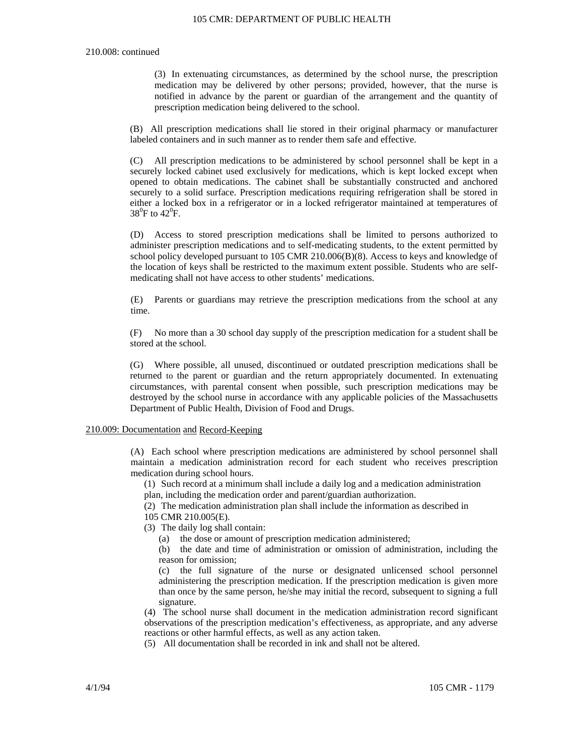### 105 CMR: DEPARTMENT OF PUBLIC HEALTH

#### 210.008: continued

(3) In extenuating circumstances, as determined by the school nurse, the prescription medication may be delivered by other persons; provided, however, that the nurse is notified in advance by the parent or guardian of the arrangement and the quantity of prescription medication being delivered to the school.

(B) All prescription medications shall lie stored in their original pharmacy or manufacturer labeled containers and in such manner as to render them safe and effective.

(C) All prescription medications to be administered by school personnel shall be kept in a securely locked cabinet used exclusively for medications, which is kept locked except when opened to obtain medications. The cabinet shall be substantially constructed and anchored securely to a solid surface. Prescription medications requiring refrigeration shall be stored in either a locked box in a refrigerator or in a locked refrigerator maintained at temperatures of  $38^0$ F to  $42^0$ F.

(D) Access to stored prescription medications shall be limited to persons authorized to administer prescription medications and to self-medicating students, to the extent permitted by school policy developed pursuant to 105 CMR 210.006(B)(8). Access to keys and knowledge of the location of keys shall be restricted to the maximum extent possible. Students who are selfmedicating shall not have access to other students' medications.

(E) Parents or guardians may retrieve the prescription medications from the school at any time.

(F) No more than a 30 school day supply of the prescription medication for a student shall be stored at the school.

(G) Where possible, all unused, discontinued or outdated prescription medications shall be returned to the parent or guardian and the return appropriately documented. In extenuating circumstances, with parental consent when possible, such prescription medications may be destroyed by the school nurse in accordance with any applicable policies of the Massachusetts Department of Public Health, Division of Food and Drugs.

## 210.009: Documentation and Record-Keeping

(A) Each school where prescription medications are administered by school personnel shall maintain a medication administration record for each student who receives prescription medication during school hours.

(1) Such record at a minimum shall include a daily log and a medication administration plan, including the medication order and parent/guardian authorization.

(2) The medication administration plan shall include the information as described in

105 CMR 210.005(E).

- (3) The daily log shall contain:
	- (a) the dose or amount of prescription medication administered;

(b) the date and time of administration or omission of administration, including the reason for omission;

(c) the full signature of the nurse or designated unlicensed school personnel administering the prescription medication. If the prescription medication is given more than once by the same person, he/she may initial the record, subsequent to signing a full signature.

(4) The school nurse shall document in the medication administration record significant observations of the prescription medication's effectiveness, as appropriate, and any adverse reactions or other harmful effects, as well as any action taken.

(5) All documentation shall be recorded in ink and shall not be altered.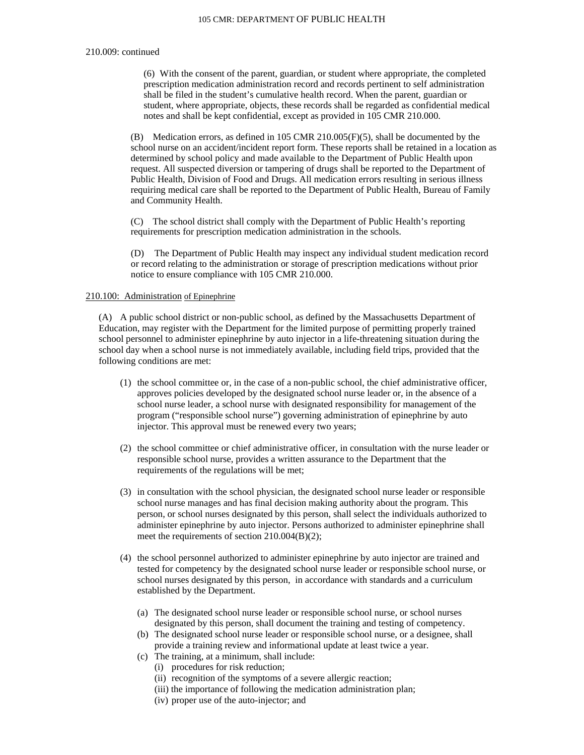#### 210.009: continued

(6) With the consent of the parent, guardian, or student where appropriate, the completed prescription medication administration record and records pertinent to self administration shall be filed in the student's cumulative health record. When the parent, guardian or student, where appropriate, objects, these records shall be regarded as confidential medical notes and shall be kept confidential, except as provided in 105 CMR 210.000.

(B) Medication errors, as defined in 105 CMR 210.005(F)(5), shall be documented by the school nurse on an accident/incident report form. These reports shall be retained in a location as determined by school policy and made available to the Department of Public Health upon request. All suspected diversion or tampering of drugs shall be reported to the Department of Public Health, Division of Food and Drugs. All medication errors resulting in serious illness requiring medical care shall be reported to the Department of Public Health, Bureau of Family and Community Health.

(C) The school district shall comply with the Department of Public Health's reporting requirements for prescription medication administration in the schools.

(D) The Department of Public Health may inspect any individual student medication record or record relating to the administration or storage of prescription medications without prior notice to ensure compliance with 105 CMR 210.000.

# 210.100: Administration of Epinephrine

(A) A public school district or non-public school, as defined by the Massachusetts Department of Education, may register with the Department for the limited purpose of permitting properly trained school personnel to administer epinephrine by auto injector in a life-threatening situation during the school day when a school nurse is not immediately available, including field trips, provided that the following conditions are met:

- (1) the school committee or, in the case of a non-public school, the chief administrative officer, approves policies developed by the designated school nurse leader or, in the absence of a school nurse leader, a school nurse with designated responsibility for management of the program ("responsible school nurse") governing administration of epinephrine by auto injector. This approval must be renewed every two years;
- (2) the school committee or chief administrative officer, in consultation with the nurse leader or responsible school nurse, provides a written assurance to the Department that the requirements of the regulations will be met;
- (3) in consultation with the school physician, the designated school nurse leader or responsible school nurse manages and has final decision making authority about the program. This person, or school nurses designated by this person, shall select the individuals authorized to administer epinephrine by auto injector. Persons authorized to administer epinephrine shall meet the requirements of section 210.004(B)(2);
- (4) the school personnel authorized to administer epinephrine by auto injector are trained and tested for competency by the designated school nurse leader or responsible school nurse, or school nurses designated by this person, in accordance with standards and a curriculum established by the Department.
	- (a) The designated school nurse leader or responsible school nurse, or school nurses designated by this person, shall document the training and testing of competency.
	- (b) The designated school nurse leader or responsible school nurse, or a designee, shall provide a training review and informational update at least twice a year.
	- (c) The training, at a minimum, shall include:
		- (i) procedures for risk reduction;
		- (ii) recognition of the symptoms of a severe allergic reaction;
		- (iii) the importance of following the medication administration plan;
		- (iv) proper use of the auto-injector; and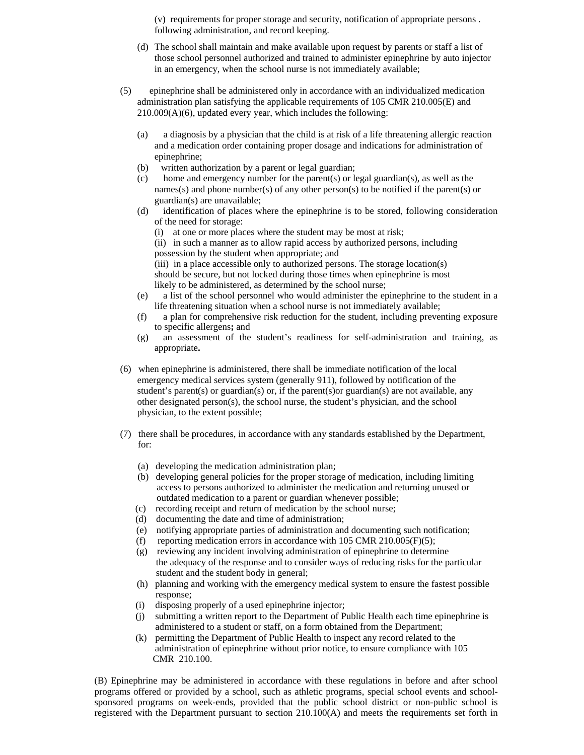(v) requirements for proper storage and security, notification of appropriate persons . following administration, and record keeping.

- (d) The school shall maintain and make available upon request by parents or staff a list of those school personnel authorized and trained to administer epinephrine by auto injector in an emergency, when the school nurse is not immediately available;
- (5) epinephrine shall be administered only in accordance with an individualized medication administration plan satisfying the applicable requirements of 105 CMR 210.005(E) and 210.009(A)(6), updated every year, which includes the following:
	- (a) a diagnosis by a physician that the child is at risk of a life threatening allergic reaction and a medication order containing proper dosage and indications for administration of epinephrine;
	- (b) written authorization by a parent or legal guardian;
	- (c) home and emergency number for the parent(s) or legal guardian(s), as well as the names(s) and phone number(s) of any other person(s) to be notified if the parent(s) or guardian(s) are unavailable;
	- (d) identification of places where the epinephrine is to be stored, following consideration of the need for storage:
		- (i) at one or more places where the student may be most at risk;
		- (ii) in such a manner as to allow rapid access by authorized persons, including possession by the student when appropriate; and

(iii) in a place accessible only to authorized persons. The storage location(s) should be secure, but not locked during those times when epinephrine is most likely to be administered, as determined by the school nurse;

- (e) a list of the school personnel who would administer the epinephrine to the student in a life threatening situation when a school nurse is not immediately available;
- (f) a plan for comprehensive risk reduction for the student, including preventing exposure to specific allergens**;** and
- (g) an assessment of the student's readiness for self-administration and training, as appropriate**.**
- (6) when epinephrine is administered, there shall be immediate notification of the local emergency medical services system (generally 911), followed by notification of the student's parent(s) or guardian(s) or, if the parent(s)or guardian(s) are not available, any other designated person(s), the school nurse, the student's physician, and the school physician, to the extent possible;
- (7) there shall be procedures, in accordance with any standards established by the Department, for:
	- (a) developing the medication administration plan;
	- (b) developing general policies for the proper storage of medication, including limiting access to persons authorized to administer the medication and returning unused or outdated medication to a parent or guardian whenever possible;
	- (c) recording receipt and return of medication by the school nurse;
	- (d) documenting the date and time of administration;
	- (e) notifying appropriate parties of administration and documenting such notification;
	- (f) reporting medication errors in accordance with  $105 \text{ CMR } 210.005(\text{F})(5)$ ;
	- (g) reviewing any incident involving administration of epinephrine to determine the adequacy of the response and to consider ways of reducing risks for the particular student and the student body in general;
	- (h) planning and working with the emergency medical system to ensure the fastest possible response;
	- (i) disposing properly of a used epinephrine injector;
	- (j) submitting a written report to the Department of Public Health each time epinephrine is administered to a student or staff, on a form obtained from the Department;
	- (k) permitting the Department of Public Health to inspect any record related to the administration of epinephrine without prior notice, to ensure compliance with 105 CMR 210.100.

(B) Epinephrine may be administered in accordance with these regulations in before and after school programs offered or provided by a school, such as athletic programs, special school events and schoolsponsored programs on week-ends, provided that the public school district or non-public school is registered with the Department pursuant to section 210.100(A) and meets the requirements set forth in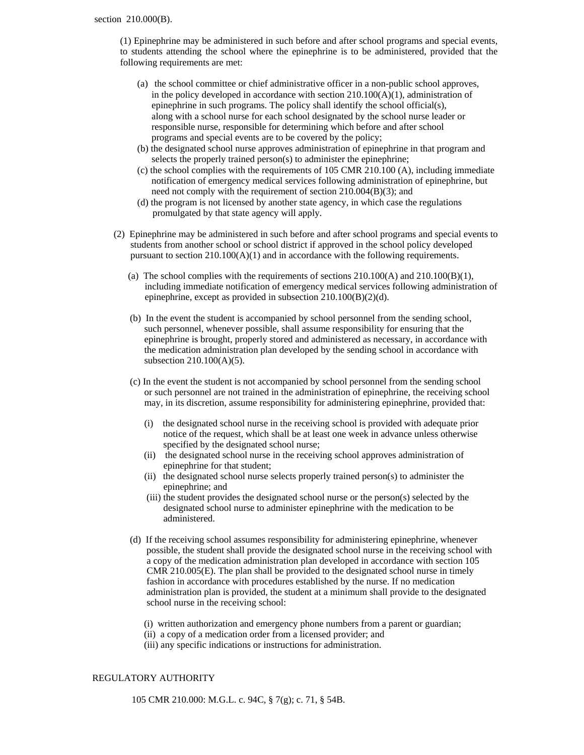(1) Epinephrine may be administered in such before and after school programs and special events, to students attending the school where the epinephrine is to be administered, provided that the following requirements are met:

- (a) the school committee or chief administrative officer in a non-public school approves, in the policy developed in accordance with section 210.100(A)(1), administration of epinephrine in such programs. The policy shall identify the school official(s), along with a school nurse for each school designated by the school nurse leader or responsible nurse, responsible for determining which before and after school programs and special events are to be covered by the policy;
- (b) the designated school nurse approves administration of epinephrine in that program and selects the properly trained person(s) to administer the epinephrine;
- (c) the school complies with the requirements of 105 CMR 210.100 (A), including immediate notification of emergency medical services following administration of epinephrine, but need not comply with the requirement of section 210.004(B)(3); and
- (d) the program is not licensed by another state agency, in which case the regulations promulgated by that state agency will apply.
- (2) Epinephrine may be administered in such before and after school programs and special events to students from another school or school district if approved in the school policy developed pursuant to section 210.100(A)(1) and in accordance with the following requirements.
	- (a) The school complies with the requirements of sections  $210.100(A)$  and  $210.100(B)(1)$ , including immediate notification of emergency medical services following administration of epinephrine, except as provided in subsection 210.100(B)(2)(d).
	- (b) In the event the student is accompanied by school personnel from the sending school, such personnel, whenever possible, shall assume responsibility for ensuring that the epinephrine is brought, properly stored and administered as necessary, in accordance with the medication administration plan developed by the sending school in accordance with subsection 210.100(A)(5).
	- (c) In the event the student is not accompanied by school personnel from the sending school or such personnel are not trained in the administration of epinephrine, the receiving school may, in its discretion, assume responsibility for administering epinephrine, provided that:
		- (i) the designated school nurse in the receiving school is provided with adequate prior notice of the request, which shall be at least one week in advance unless otherwise specified by the designated school nurse;
		- (ii) the designated school nurse in the receiving school approves administration of epinephrine for that student;
		- (ii) the designated school nurse selects properly trained person(s) to administer the epinephrine; and
		- (iii) the student provides the designated school nurse or the person(s) selected by the designated school nurse to administer epinephrine with the medication to be administered.
	- (d) If the receiving school assumes responsibility for administering epinephrine, whenever possible, the student shall provide the designated school nurse in the receiving school with a copy of the medication administration plan developed in accordance with section 105 CMR 210.005(E). The plan shall be provided to the designated school nurse in timely fashion in accordance with procedures established by the nurse. If no medication administration plan is provided, the student at a minimum shall provide to the designated school nurse in the receiving school:
		- (i) written authorization and emergency phone numbers from a parent or guardian;
		- (ii) a copy of a medication order from a licensed provider; and
		- (iii) any specific indications or instructions for administration.

# REGULATORY AUTHORITY

105 CMR 210.000: M.G.L. c. 94C, § 7(g); c. 71, § 54B.